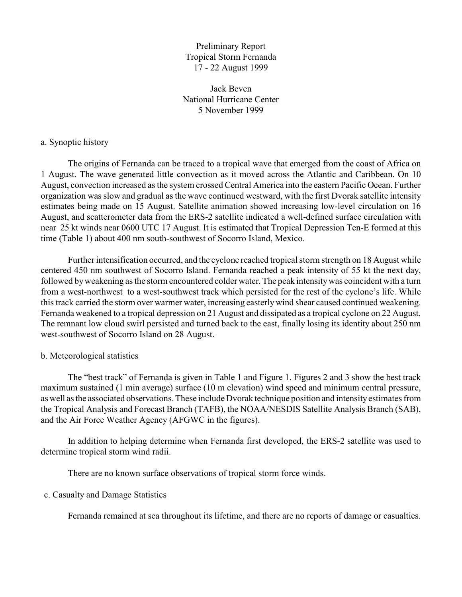Preliminary Report Tropical Storm Fernanda 17 - 22 August 1999

Jack Beven National Hurricane Center 5 November 1999

## a. Synoptic history

The origins of Fernanda can be traced to a tropical wave that emerged from the coast of Africa on 1 August. The wave generated little convection as it moved across the Atlantic and Caribbean. On 10 August, convection increased as the system crossed Central America into the eastern Pacific Ocean. Further organization was slow and gradual as the wave continued westward, with the first Dvorak satellite intensity estimates being made on 15 August. Satellite animation showed increasing low-level circulation on 16 August, and scatterometer data from the ERS-2 satellite indicated a well-defined surface circulation with near 25 kt winds near 0600 UTC 17 August. It is estimated that Tropical Depression Ten-E formed at this time (Table 1) about 400 nm south-southwest of Socorro Island, Mexico.

Further intensification occurred, and the cyclone reached tropical storm strength on 18 August while centered 450 nm southwest of Socorro Island. Fernanda reached a peak intensity of 55 kt the next day, followed by weakening as the storm encountered colder water. The peak intensitywas coincident with a turn from a west-northwest to a west-southwest track which persisted for the rest of the cyclone's life. While this track carried the storm over warmer water, increasing easterly wind shear caused continued weakening. Fernanda weakened to a tropical depression on 21 August and dissipated as a tropical cyclone on 22 August. The remnant low cloud swirl persisted and turned back to the east, finally losing its identity about 250 nm west-southwest of Socorro Island on 28 August.

## b. Meteorological statistics

The "best track" of Fernanda is given in Table 1 and Figure 1. Figures 2 and 3 show the best track maximum sustained (1 min average) surface (10 m elevation) wind speed and minimum central pressure, as well as the associated observations. These include Dvorak technique position and intensity estimates from the Tropical Analysis and Forecast Branch (TAFB), the NOAA/NESDIS Satellite Analysis Branch (SAB), and the Air Force Weather Agency (AFGWC in the figures).

In addition to helping determine when Fernanda first developed, the ERS-2 satellite was used to determine tropical storm wind radii.

There are no known surface observations of tropical storm force winds.

## c. Casualty and Damage Statistics

Fernanda remained at sea throughout its lifetime, and there are no reports of damage or casualties.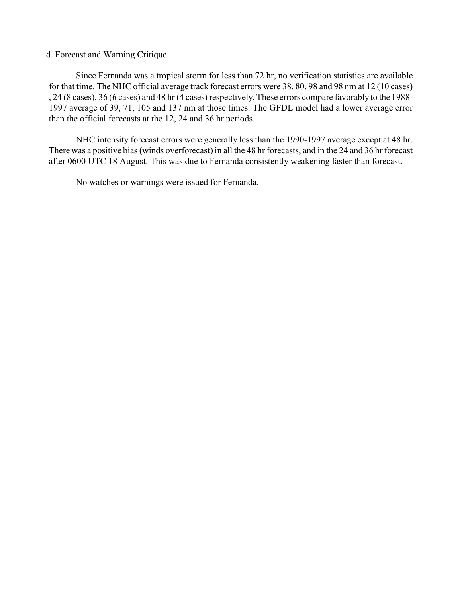## d. Forecast and Warning Critique

Since Fernanda was a tropical storm for less than 72 hr, no verification statistics are available for that time. The NHC official average track forecast errors were 38, 80, 98 and 98 nm at 12 (10 cases) , 24 (8 cases), 36 (6 cases) and 48 hr (4 cases) respectively. These errors compare favorably to the 1988- 1997 average of 39, 71, 105 and 137 nm at those times. The GFDL model had a lower average error than the official forecasts at the 12, 24 and 36 hr periods.

NHC intensity forecast errors were generally less than the 1990-1997 average except at 48 hr. There was a positive bias (winds overforecast) in all the 48 hr forecasts, and in the 24 and 36 hr forecast after 0600 UTC 18 August. This was due to Fernanda consistently weakening faster than forecast.

No watches or warnings were issued for Fernanda.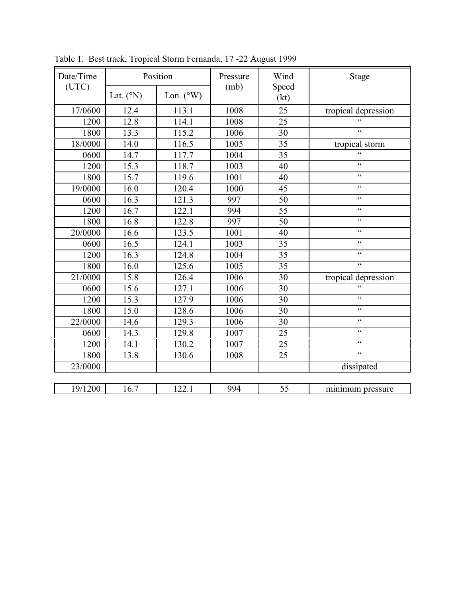| Date/Time<br>(UTC) | Position           |                    | Pressure | Wind            | Stage                                      |
|--------------------|--------------------|--------------------|----------|-----------------|--------------------------------------------|
|                    | Lat. $(^{\circ}N)$ | Lon. $(^{\circ}W)$ | (mb)     | Speed<br>(kt)   |                                            |
| 17/0600            | 12.4               | 113.1              | 1008     | 25              | tropical depression                        |
| 1200               | 12.8               | 114.1              | 1008     | 25              | $\epsilon$                                 |
| 1800               | 13.3               | 115.2              | 1006     | 30              | $\zeta$ $\zeta$                            |
| 18/0000            | 14.0               | 116.5              | 1005     | 35              | tropical storm                             |
| 0600               | 14.7               | 117.7              | 1004     | 35              | $\epsilon$                                 |
| 1200               | 15.3               | 118.7              | 1003     | 40              | $\zeta \, \zeta$                           |
| 1800               | 15.7               | 119.6              | 1001     | 40              | $\epsilon$                                 |
| 19/0000            | 16.0               | 120.4              | 1000     | $\overline{45}$ | $\zeta\,\zeta$                             |
| 0600               | 16.3               | 121.3              | 997      | 50              | $\zeta\,\zeta$                             |
| 1200               | 16.7               | 122.1              | 994      | 55              | $\boldsymbol{\zeta} \, \boldsymbol{\zeta}$ |
| 1800               | 16.8               | 122.8              | 997      | 50              | $\boldsymbol{\zeta} \, \boldsymbol{\zeta}$ |
| 20/0000            | 16.6               | 123.5              | 1001     | 40              | $\zeta\,\zeta$                             |
| 0600               | 16.5               | 124.1              | 1003     | 35              | $\zeta\,\zeta$                             |
| 1200               | 16.3               | 124.8              | 1004     | 35              | $\zeta\,\zeta$                             |
| 1800               | 16.0               | 125.6              | 1005     | 35              | $\zeta\,\zeta$                             |
| 21/0000            | 15.8               | 126.4              | 1006     | 30              | tropical depression                        |
| 0600               | 15.6               | 127.1              | 1006     | 30              | $\overline{\mathbf{G}}$                    |
| 1200               | 15.3               | 127.9              | 1006     | 30              | $\zeta\,\zeta$                             |
| 1800               | 15.0               | 128.6              | 1006     | 30              | $\boldsymbol{\zeta} \, \boldsymbol{\zeta}$ |
| 22/0000            | 14.6               | 129.3              | 1006     | 30              | $\zeta\,\zeta$                             |
| 0600               | 14.3               | 129.8              | 1007     | 25              | $\zeta$ $\zeta$                            |
| 1200               | 14.1               | 130.2              | 1007     | 25              | $\boldsymbol{\zeta} \, \boldsymbol{\zeta}$ |
| 1800               | 13.8               | 130.6              | 1008     | 25              | $\overline{\mathfrak{c}}$                  |
| 23/0000            |                    |                    |          |                 | dissipated                                 |
|                    |                    |                    |          |                 |                                            |
| 19/1200            | 16.7               | 122.1              | 994      | 55              | minimum pressure                           |

Table 1. Best track, Tropical Storm Fernanda, 17 -22 August 1999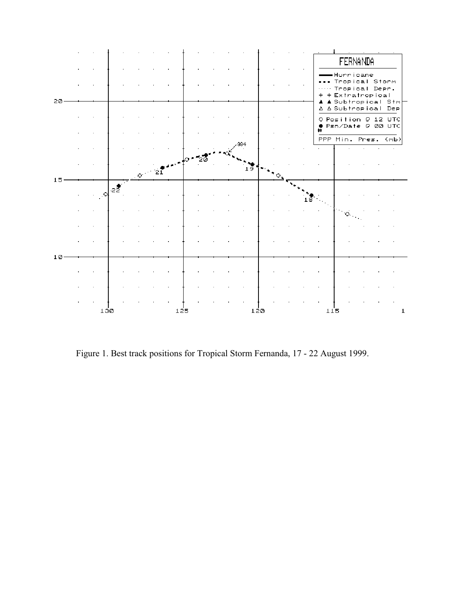

Figure 1. Best track positions for Tropical Storm Fernanda, 17 - 22 August 1999.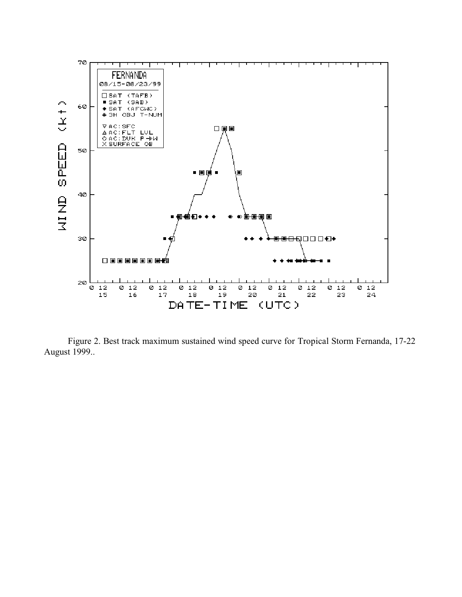

Figure 2. Best track maximum sustained wind speed curve for Tropical Storm Fernanda, 17-22 August 1999..